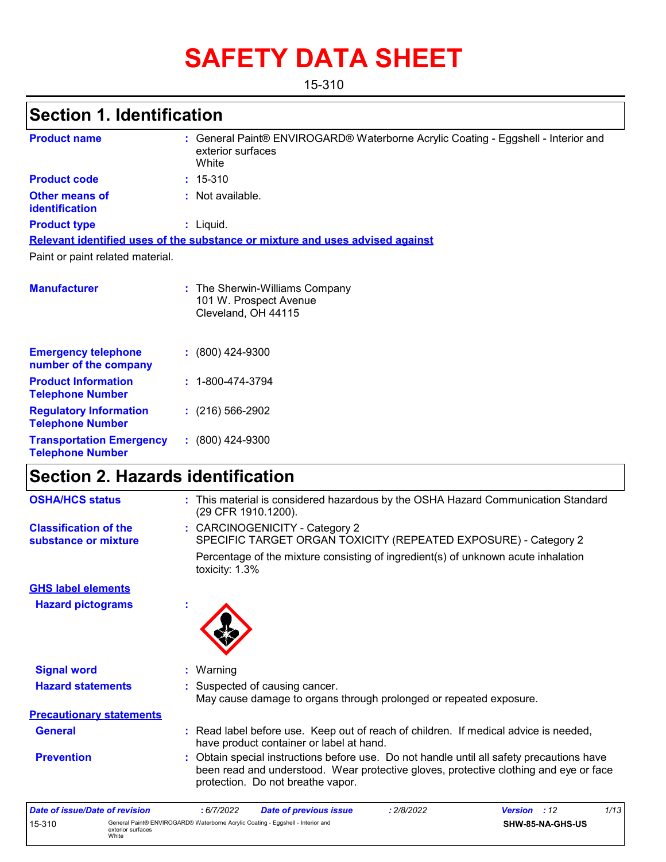# **SAFETY DATA SHEET**

15-310

# **Section 1. Identification**

| <b>Product name</b>                                        | : General Paint® ENVIROGARD® Waterborne Acrylic Coating - Eggshell - Interior and<br>exterior surfaces<br>White |  |  |
|------------------------------------------------------------|-----------------------------------------------------------------------------------------------------------------|--|--|
| <b>Product code</b>                                        | $: 15 - 310$                                                                                                    |  |  |
| <b>Other means of</b><br><b>identification</b>             | : Not available.                                                                                                |  |  |
| <b>Product type</b>                                        | $:$ Liquid.                                                                                                     |  |  |
|                                                            | Relevant identified uses of the substance or mixture and uses advised against                                   |  |  |
| Paint or paint related material.                           |                                                                                                                 |  |  |
| <b>Manufacturer</b>                                        | : The Sherwin-Williams Company<br>101 W. Prospect Avenue<br>Cleveland, OH 44115                                 |  |  |
| <b>Emergency telephone</b><br>number of the company        | $: (800)$ 424-9300                                                                                              |  |  |
| <b>Product Information</b><br><b>Telephone Number</b>      | $: 1 - 800 - 474 - 3794$                                                                                        |  |  |
| <b>Regulatory Information</b><br><b>Telephone Number</b>   | $: (216) 566 - 2902$                                                                                            |  |  |
| <b>Transportation Emergency</b><br><b>Telephone Number</b> | $: (800)$ 424-9300                                                                                              |  |  |

# **Section 2. Hazards identification**

| <b>OSHA/HCS status</b>                               | : This material is considered hazardous by the OSHA Hazard Communication Standard<br>(29 CFR 1910.1200).                                                                                                                |
|------------------------------------------------------|-------------------------------------------------------------------------------------------------------------------------------------------------------------------------------------------------------------------------|
| <b>Classification of the</b><br>substance or mixture | : CARCINOGENICITY - Category 2<br>SPECIFIC TARGET ORGAN TOXICITY (REPEATED EXPOSURE) - Category 2                                                                                                                       |
|                                                      | Percentage of the mixture consisting of ingredient(s) of unknown acute inhalation<br>toxicity: 1.3%                                                                                                                     |
| <b>GHS label elements</b>                            |                                                                                                                                                                                                                         |
| <b>Hazard pictograms</b>                             |                                                                                                                                                                                                                         |
| <b>Signal word</b>                                   | : Warning                                                                                                                                                                                                               |
| <b>Hazard statements</b>                             | : Suspected of causing cancer.<br>May cause damage to organs through prolonged or repeated exposure.                                                                                                                    |
| <b>Precautionary statements</b>                      |                                                                                                                                                                                                                         |
| <b>General</b>                                       | : Read label before use. Keep out of reach of children. If medical advice is needed,<br>have product container or label at hand.                                                                                        |
| <b>Prevention</b>                                    | : Obtain special instructions before use. Do not handle until all safety precautions have<br>been read and understood. Wear protective gloves, protective clothing and eye or face<br>protection. Do not breathe vapor. |

| Date of issue/Date of revision |                                                                                                               | 6/7/2022 | <b>Date of previous issue</b> | 2/8/2022 | <b>Version</b> : 12 |                         | 1/13 |
|--------------------------------|---------------------------------------------------------------------------------------------------------------|----------|-------------------------------|----------|---------------------|-------------------------|------|
| 15-310                         | General Paint® ENVIROGARD® Waterborne Acrylic Coating - Eggshell - Interior and<br>exterior surfaces<br>White |          |                               |          |                     | <b>SHW-85-NA-GHS-US</b> |      |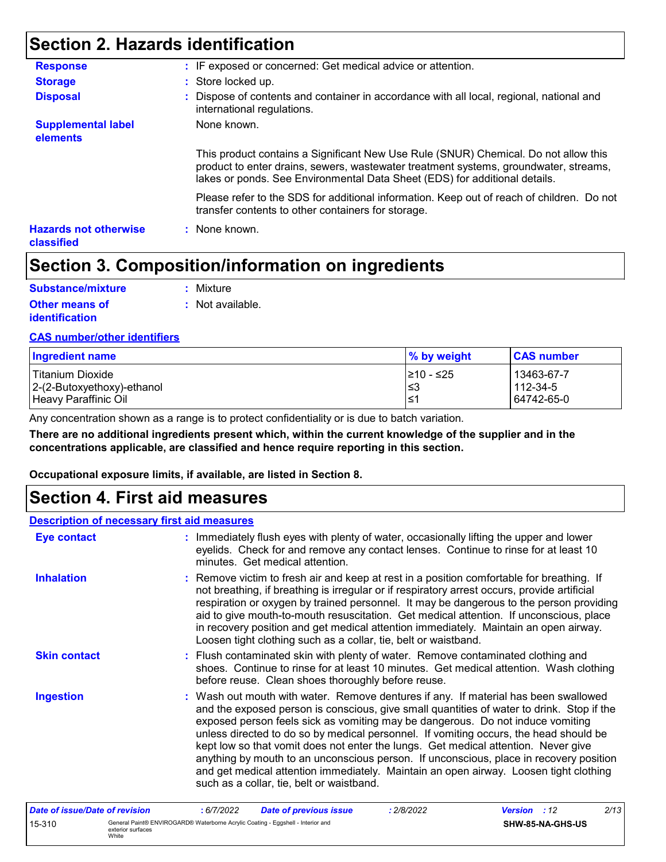# **Section 2. Hazards identification**

| <b>Response</b>                            | : IF exposed or concerned: Get medical advice or attention.                                                                                                                                                                                               |
|--------------------------------------------|-----------------------------------------------------------------------------------------------------------------------------------------------------------------------------------------------------------------------------------------------------------|
| <b>Storage</b>                             | : Store locked up.                                                                                                                                                                                                                                        |
| <b>Disposal</b>                            | : Dispose of contents and container in accordance with all local, regional, national and<br>international regulations.                                                                                                                                    |
| <b>Supplemental label</b><br>elements      | None known.                                                                                                                                                                                                                                               |
|                                            | This product contains a Significant New Use Rule (SNUR) Chemical. Do not allow this<br>product to enter drains, sewers, wastewater treatment systems, groundwater, streams,<br>lakes or ponds. See Environmental Data Sheet (EDS) for additional details. |
|                                            | Please refer to the SDS for additional information. Keep out of reach of children. Do not<br>transfer contents to other containers for storage.                                                                                                           |
| <b>Hazards not otherwise</b><br>classified | : None known.                                                                                                                                                                                                                                             |

# **Section 3. Composition/information on ingredients**

| Substance/mixture     | : Mixture        |
|-----------------------|------------------|
| Other means of        | : Not available. |
| <b>identification</b> |                  |

#### **CAS number/other identifiers**

| <b>Ingredient name</b>     | $\%$ by weight | <b>CAS number</b> |
|----------------------------|----------------|-------------------|
| <b>Titanium Dioxide</b>    | 1≥10 - ≤25     | 13463-67-7        |
| 2-(2-Butoxyethoxy)-ethanol | ∣≤3            | 112-34-5          |
| Heavy Paraffinic Oil       | 1≤             | 64742-65-0        |

Any concentration shown as a range is to protect confidentiality or is due to batch variation.

**There are no additional ingredients present which, within the current knowledge of the supplier and in the concentrations applicable, are classified and hence require reporting in this section.**

**Occupational exposure limits, if available, are listed in Section 8.**

### **Section 4. First aid measures**

#### **Description of necessary first aid measures**

| <b>Eye contact</b>  | : Immediately flush eyes with plenty of water, occasionally lifting the upper and lower<br>eyelids. Check for and remove any contact lenses. Continue to rinse for at least 10<br>minutes. Get medical attention.                                                                                                                                                                                                                                                                                                                                                                                                                                                                 |
|---------------------|-----------------------------------------------------------------------------------------------------------------------------------------------------------------------------------------------------------------------------------------------------------------------------------------------------------------------------------------------------------------------------------------------------------------------------------------------------------------------------------------------------------------------------------------------------------------------------------------------------------------------------------------------------------------------------------|
| <b>Inhalation</b>   | : Remove victim to fresh air and keep at rest in a position comfortable for breathing. If<br>not breathing, if breathing is irregular or if respiratory arrest occurs, provide artificial<br>respiration or oxygen by trained personnel. It may be dangerous to the person providing<br>aid to give mouth-to-mouth resuscitation. Get medical attention. If unconscious, place<br>in recovery position and get medical attention immediately. Maintain an open airway.<br>Loosen tight clothing such as a collar, tie, belt or waistband.                                                                                                                                         |
| <b>Skin contact</b> | : Flush contaminated skin with plenty of water. Remove contaminated clothing and<br>shoes. Continue to rinse for at least 10 minutes. Get medical attention. Wash clothing<br>before reuse. Clean shoes thoroughly before reuse.                                                                                                                                                                                                                                                                                                                                                                                                                                                  |
| Ingestion           | : Wash out mouth with water. Remove dentures if any. If material has been swallowed<br>and the exposed person is conscious, give small quantities of water to drink. Stop if the<br>exposed person feels sick as vomiting may be dangerous. Do not induce vomiting<br>unless directed to do so by medical personnel. If vomiting occurs, the head should be<br>kept low so that vomit does not enter the lungs. Get medical attention. Never give<br>anything by mouth to an unconscious person. If unconscious, place in recovery position<br>and get medical attention immediately. Maintain an open airway. Loosen tight clothing<br>such as a collar, tie, belt or waistband. |

|        | Date of issue/Date of revision | 6/7/2022 | Date of previous issue                                                          | 2/8/2022 | <b>Version</b> : 12 | 2/13 |
|--------|--------------------------------|----------|---------------------------------------------------------------------------------|----------|---------------------|------|
| 15-310 | exterior surfaces<br>White     |          | General Paint® ENVIROGARD® Waterborne Acrylic Coating - Eggshell - Interior and |          | SHW-85-NA-GHS-US    |      |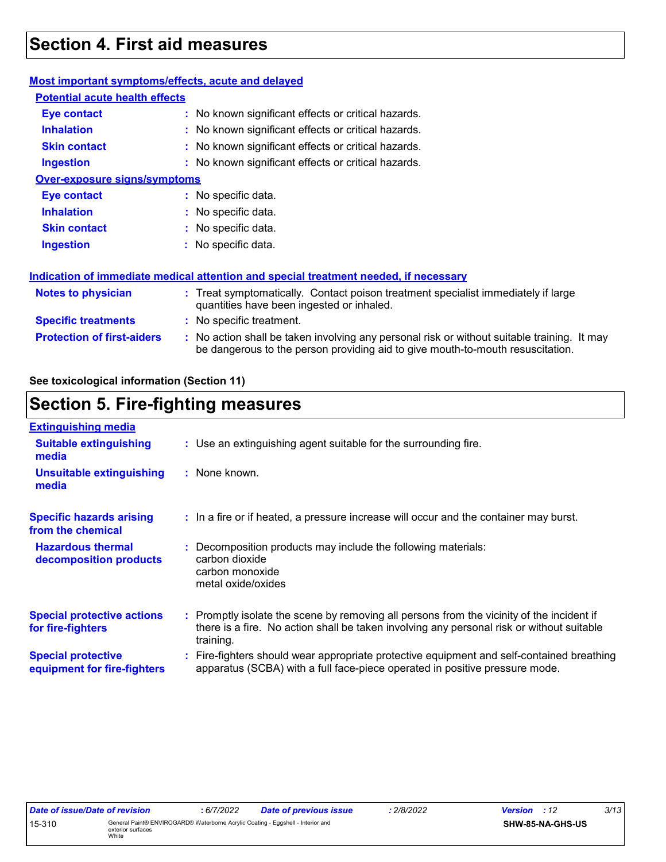# **Section 4. First aid measures**

| <b>Most important symptoms/effects, acute and delayed</b> |                                                                                                                                                                               |
|-----------------------------------------------------------|-------------------------------------------------------------------------------------------------------------------------------------------------------------------------------|
| <b>Potential acute health effects</b>                     |                                                                                                                                                                               |
| Eye contact                                               | : No known significant effects or critical hazards.                                                                                                                           |
| <b>Inhalation</b>                                         | : No known significant effects or critical hazards.                                                                                                                           |
| <b>Skin contact</b>                                       | : No known significant effects or critical hazards.                                                                                                                           |
| <b>Ingestion</b>                                          | : No known significant effects or critical hazards.                                                                                                                           |
| Over-exposure signs/symptoms                              |                                                                                                                                                                               |
| Eye contact                                               | : No specific data.                                                                                                                                                           |
| <b>Inhalation</b>                                         | : No specific data.                                                                                                                                                           |
| <b>Skin contact</b>                                       | : No specific data.                                                                                                                                                           |
| <b>Ingestion</b>                                          | : No specific data.                                                                                                                                                           |
|                                                           | Indication of immediate medical attention and special treatment needed, if necessary                                                                                          |
| <b>Notes to physician</b>                                 | : Treat symptomatically. Contact poison treatment specialist immediately if large<br>quantities have been ingested or inhaled.                                                |
| <b>Specific treatments</b>                                | : No specific treatment.                                                                                                                                                      |
| <b>Protection of first-aiders</b>                         | : No action shall be taken involving any personal risk or without suitable training. It may<br>be dangerous to the person providing aid to give mouth-to-mouth resuscitation. |

#### **See toxicological information (Section 11)**

# **Section 5. Fire-fighting measures**

| <b>Extinguishing media</b>                               |                                                                                                                                                                                                     |
|----------------------------------------------------------|-----------------------------------------------------------------------------------------------------------------------------------------------------------------------------------------------------|
| <b>Suitable extinguishing</b><br>media                   | : Use an extinguishing agent suitable for the surrounding fire.                                                                                                                                     |
| <b>Unsuitable extinguishing</b><br>media                 | $:$ None known.                                                                                                                                                                                     |
| <b>Specific hazards arising</b><br>from the chemical     | : In a fire or if heated, a pressure increase will occur and the container may burst.                                                                                                               |
| <b>Hazardous thermal</b><br>decomposition products       | : Decomposition products may include the following materials:<br>carbon dioxide<br>carbon monoxide<br>metal oxide/oxides                                                                            |
| <b>Special protective actions</b><br>for fire-fighters   | : Promptly isolate the scene by removing all persons from the vicinity of the incident if<br>there is a fire. No action shall be taken involving any personal risk or without suitable<br>training. |
| <b>Special protective</b><br>equipment for fire-fighters | : Fire-fighters should wear appropriate protective equipment and self-contained breathing<br>apparatus (SCBA) with a full face-piece operated in positive pressure mode.                            |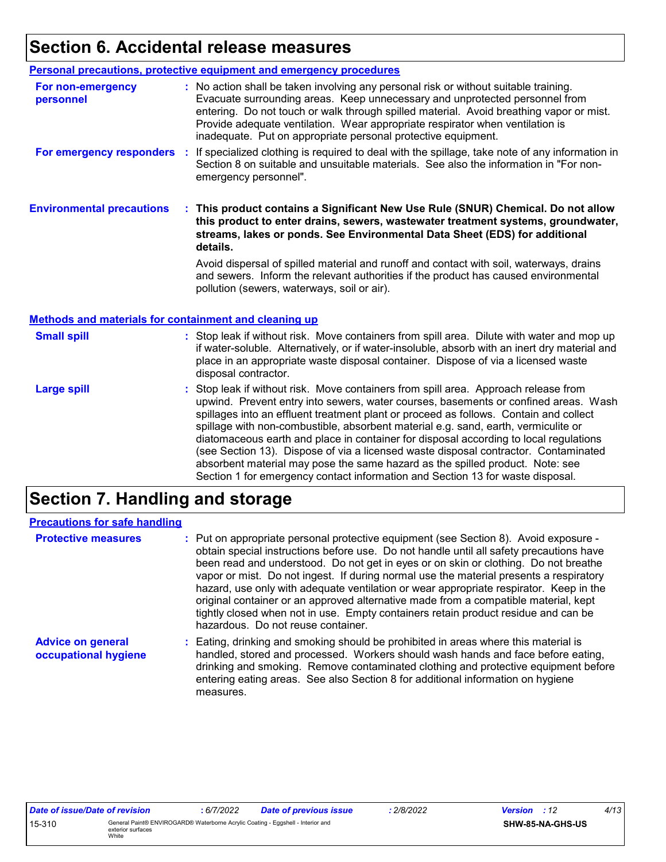# **Section 6. Accidental release measures**

| Personal precautions, protective equipment and emergency procedures |                                                                                                                                                                                                                                                                                                                                                                                                                  |
|---------------------------------------------------------------------|------------------------------------------------------------------------------------------------------------------------------------------------------------------------------------------------------------------------------------------------------------------------------------------------------------------------------------------------------------------------------------------------------------------|
|                                                                     |                                                                                                                                                                                                                                                                                                                                                                                                                  |
| For non-emergency<br>personnel                                      | : No action shall be taken involving any personal risk or without suitable training.<br>Evacuate surrounding areas. Keep unnecessary and unprotected personnel from<br>entering. Do not touch or walk through spilled material. Avoid breathing vapor or mist.<br>Provide adequate ventilation. Wear appropriate respirator when ventilation is<br>inadequate. Put on appropriate personal protective equipment. |
| For emergency responders                                            | If specialized clothing is required to deal with the spillage, take note of any information in<br>Section 8 on suitable and unsuitable materials. See also the information in "For non-<br>emergency personnel".                                                                                                                                                                                                 |
| <b>Environmental precautions</b>                                    | : This product contains a Significant New Use Rule (SNUR) Chemical. Do not allow<br>this product to enter drains, sewers, wastewater treatment systems, groundwater,<br>streams, lakes or ponds. See Environmental Data Sheet (EDS) for additional<br>details.                                                                                                                                                   |
|                                                                     | Avoid dispersal of spilled material and runoff and contact with soil, waterways, drains<br>and sewers. Inform the relevant authorities if the product has caused environmental<br>pollution (sewers, waterways, soil or air).                                                                                                                                                                                    |
|                                                                     |                                                                                                                                                                                                                                                                                                                                                                                                                  |
| Methods and materials for containment and cleaning up               |                                                                                                                                                                                                                                                                                                                                                                                                                  |
| <b>Small spill</b>                                                  | : Stop leak if without risk. Move containers from spill area. Dilute with water and mop up<br>if water-soluble. Alternatively, or if water-insoluble, absorb with an inert dry material and<br>place in an appropriate waste disposal container. Dispose of via a licensed waste<br>disposal contractor.                                                                                                         |

## **Section 7. Handling and storage**

| <b>Precautions for safe handling</b>             |                                                                                                                                                                                                                                                                                                                                                                                                                                                                                                                                                                                                                                                                               |
|--------------------------------------------------|-------------------------------------------------------------------------------------------------------------------------------------------------------------------------------------------------------------------------------------------------------------------------------------------------------------------------------------------------------------------------------------------------------------------------------------------------------------------------------------------------------------------------------------------------------------------------------------------------------------------------------------------------------------------------------|
| <b>Protective measures</b>                       | : Put on appropriate personal protective equipment (see Section 8). Avoid exposure -<br>obtain special instructions before use. Do not handle until all safety precautions have<br>been read and understood. Do not get in eyes or on skin or clothing. Do not breathe<br>vapor or mist. Do not ingest. If during normal use the material presents a respiratory<br>hazard, use only with adequate ventilation or wear appropriate respirator. Keep in the<br>original container or an approved alternative made from a compatible material, kept<br>tightly closed when not in use. Empty containers retain product residue and can be<br>hazardous. Do not reuse container. |
| <b>Advice on general</b><br>occupational hygiene | Eating, drinking and smoking should be prohibited in areas where this material is<br>handled, stored and processed. Workers should wash hands and face before eating,<br>drinking and smoking. Remove contaminated clothing and protective equipment before<br>entering eating areas. See also Section 8 for additional information on hygiene<br>measures.                                                                                                                                                                                                                                                                                                                   |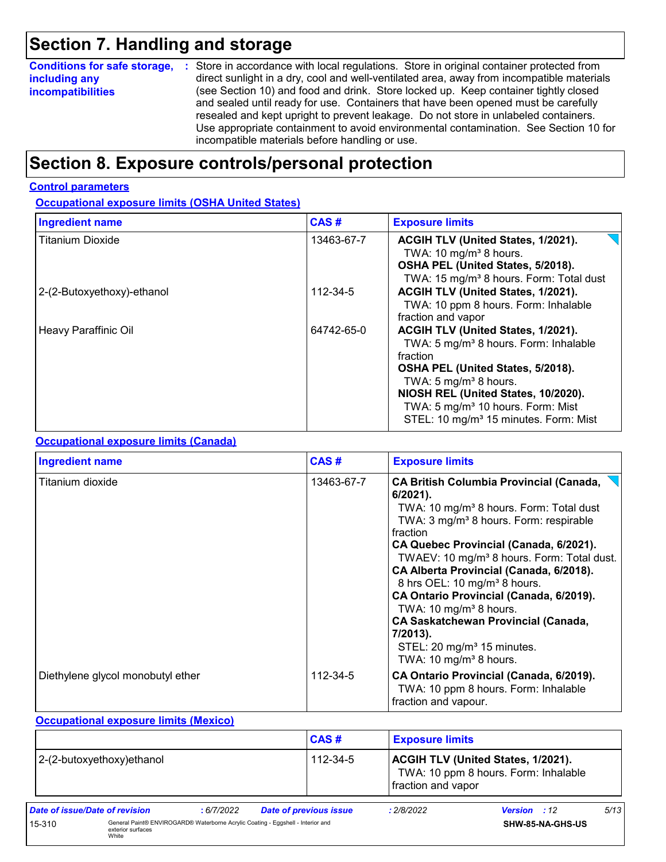# **Section 7. Handling and storage**

| <b>Conditions for safe storage,</b> | : Store in accordance with local regulations. Store in original container protected from                                                                                  |
|-------------------------------------|---------------------------------------------------------------------------------------------------------------------------------------------------------------------------|
| including any                       | direct sunlight in a dry, cool and well-ventilated area, away from incompatible materials                                                                                 |
| <b>incompatibilities</b>            | (see Section 10) and food and drink. Store locked up. Keep container tightly closed<br>and sealed until ready for use. Containers that have been opened must be carefully |
|                                     | resealed and kept upright to prevent leakage. Do not store in unlabeled containers.                                                                                       |
|                                     | Use appropriate containment to avoid environmental contamination. See Section 10 for                                                                                      |
|                                     | incompatible materials before handling or use.                                                                                                                            |

# **Section 8. Exposure controls/personal protection**

#### **Control parameters**

#### **Occupational exposure limits (OSHA United States)**

| <b>Ingredient name</b>     | CAS#       | <b>Exposure limits</b>                                                                                                                                                                                                                                                                                                     |
|----------------------------|------------|----------------------------------------------------------------------------------------------------------------------------------------------------------------------------------------------------------------------------------------------------------------------------------------------------------------------------|
| <b>Titanium Dioxide</b>    | 13463-67-7 | ACGIH TLV (United States, 1/2021).<br>TWA: 10 mg/m <sup>3</sup> 8 hours.<br>OSHA PEL (United States, 5/2018).<br>TWA: 15 mg/m <sup>3</sup> 8 hours. Form: Total dust                                                                                                                                                       |
| 2-(2-Butoxyethoxy)-ethanol | 112-34-5   | ACGIH TLV (United States, 1/2021).<br>TWA: 10 ppm 8 hours. Form: Inhalable<br>fraction and vapor                                                                                                                                                                                                                           |
| Heavy Paraffinic Oil       | 64742-65-0 | ACGIH TLV (United States, 1/2021).<br>TWA: 5 mg/m <sup>3</sup> 8 hours. Form: Inhalable<br>fraction<br>OSHA PEL (United States, 5/2018).<br>TWA: 5 mg/m <sup>3</sup> 8 hours.<br>NIOSH REL (United States, 10/2020).<br>TWA: 5 mg/m <sup>3</sup> 10 hours. Form: Mist<br>STEL: 10 mg/m <sup>3</sup> 15 minutes. Form: Mist |

#### **Occupational exposure limits (Canada)**

| <b>Ingredient name</b>            | CAS#       | <b>Exposure limits</b>                                                                                                                                                                                                                                                                                                                                                                                                                                                                                                                                                                                    |
|-----------------------------------|------------|-----------------------------------------------------------------------------------------------------------------------------------------------------------------------------------------------------------------------------------------------------------------------------------------------------------------------------------------------------------------------------------------------------------------------------------------------------------------------------------------------------------------------------------------------------------------------------------------------------------|
| Titanium dioxide                  | 13463-67-7 | <b>CA British Columbia Provincial (Canada,</b><br>6/2021).<br>TWA: 10 mg/m <sup>3</sup> 8 hours. Form: Total dust<br>TWA: 3 mg/m <sup>3</sup> 8 hours. Form: respirable<br>fraction<br>CA Quebec Provincial (Canada, 6/2021).<br>TWAEV: 10 mg/m <sup>3</sup> 8 hours. Form: Total dust.<br>CA Alberta Provincial (Canada, 6/2018).<br>8 hrs OEL: 10 mg/m <sup>3</sup> 8 hours.<br>CA Ontario Provincial (Canada, 6/2019).<br>TWA: 10 mg/m <sup>3</sup> 8 hours.<br><b>CA Saskatchewan Provincial (Canada,</b><br>7/2013).<br>STEL: 20 mg/m <sup>3</sup> 15 minutes.<br>TWA: 10 mg/m <sup>3</sup> 8 hours. |
| Diethylene glycol monobutyl ether | 112-34-5   | CA Ontario Provincial (Canada, 6/2019).<br>TWA: 10 ppm 8 hours. Form: Inhalable<br>fraction and vapour.                                                                                                                                                                                                                                                                                                                                                                                                                                                                                                   |

#### **Occupational exposure limits (Mexico)**

|                                |            | CAS#                   | <b>Exposure limits</b> |                                                                                   |      |
|--------------------------------|------------|------------------------|------------------------|-----------------------------------------------------------------------------------|------|
| $ 2-(2-butoxyethoxy)$ ethanol  |            | 112-34-5               | fraction and vapor     | <b>ACGIH TLV (United States, 1/2021).</b><br>TWA: 10 ppm 8 hours. Form: Inhalable |      |
| Dato of issue/Dato of revision | • 6/7/9099 | Data of province issue | .2/8/2022              | $V$ arejon $\cdot$ 12                                                             | 5/12 |

| Date of issue/Date of revision |                                                                                                               | 6/7/2022 | Date of previous issue | 2/8/2022 | <b>Version</b> : 12 |                  | 5/13 |
|--------------------------------|---------------------------------------------------------------------------------------------------------------|----------|------------------------|----------|---------------------|------------------|------|
| 15-310                         | General Paint® ENVIROGARD® Waterborne Acrylic Coating - Eggshell - Interior and<br>exterior surfaces<br>White |          |                        |          |                     | SHW-85-NA-GHS-US |      |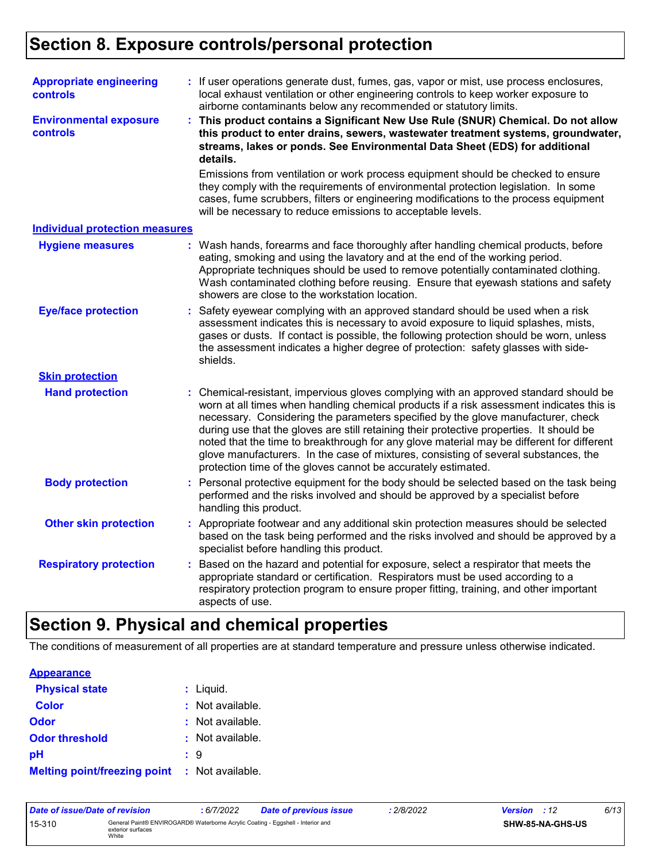# **Section 8. Exposure controls/personal protection**

| <b>Appropriate engineering</b><br>controls       | : If user operations generate dust, fumes, gas, vapor or mist, use process enclosures,<br>local exhaust ventilation or other engineering controls to keep worker exposure to<br>airborne contaminants below any recommended or statutory limits.                                                                                                                                                                                                                                                                                                                                                                       |
|--------------------------------------------------|------------------------------------------------------------------------------------------------------------------------------------------------------------------------------------------------------------------------------------------------------------------------------------------------------------------------------------------------------------------------------------------------------------------------------------------------------------------------------------------------------------------------------------------------------------------------------------------------------------------------|
| <b>Environmental exposure</b><br><b>controls</b> | This product contains a Significant New Use Rule (SNUR) Chemical. Do not allow<br>this product to enter drains, sewers, wastewater treatment systems, groundwater,<br>streams, lakes or ponds. See Environmental Data Sheet (EDS) for additional<br>details.                                                                                                                                                                                                                                                                                                                                                           |
|                                                  | Emissions from ventilation or work process equipment should be checked to ensure<br>they comply with the requirements of environmental protection legislation. In some<br>cases, fume scrubbers, filters or engineering modifications to the process equipment<br>will be necessary to reduce emissions to acceptable levels.                                                                                                                                                                                                                                                                                          |
| <b>Individual protection measures</b>            |                                                                                                                                                                                                                                                                                                                                                                                                                                                                                                                                                                                                                        |
| <b>Hygiene measures</b>                          | : Wash hands, forearms and face thoroughly after handling chemical products, before<br>eating, smoking and using the lavatory and at the end of the working period.<br>Appropriate techniques should be used to remove potentially contaminated clothing.<br>Wash contaminated clothing before reusing. Ensure that eyewash stations and safety<br>showers are close to the workstation location.                                                                                                                                                                                                                      |
| <b>Eye/face protection</b>                       | Safety eyewear complying with an approved standard should be used when a risk<br>assessment indicates this is necessary to avoid exposure to liquid splashes, mists,<br>gases or dusts. If contact is possible, the following protection should be worn, unless<br>the assessment indicates a higher degree of protection: safety glasses with side-<br>shields.                                                                                                                                                                                                                                                       |
| <b>Skin protection</b>                           |                                                                                                                                                                                                                                                                                                                                                                                                                                                                                                                                                                                                                        |
| <b>Hand protection</b>                           | : Chemical-resistant, impervious gloves complying with an approved standard should be<br>worn at all times when handling chemical products if a risk assessment indicates this is<br>necessary. Considering the parameters specified by the glove manufacturer, check<br>during use that the gloves are still retaining their protective properties. It should be<br>noted that the time to breakthrough for any glove material may be different for different<br>glove manufacturers. In the case of mixtures, consisting of several substances, the<br>protection time of the gloves cannot be accurately estimated. |
| <b>Body protection</b>                           | Personal protective equipment for the body should be selected based on the task being<br>performed and the risks involved and should be approved by a specialist before<br>handling this product.                                                                                                                                                                                                                                                                                                                                                                                                                      |
| <b>Other skin protection</b>                     | : Appropriate footwear and any additional skin protection measures should be selected<br>based on the task being performed and the risks involved and should be approved by a<br>specialist before handling this product.                                                                                                                                                                                                                                                                                                                                                                                              |
| <b>Respiratory protection</b>                    | Based on the hazard and potential for exposure, select a respirator that meets the<br>appropriate standard or certification. Respirators must be used according to a<br>respiratory protection program to ensure proper fitting, training, and other important<br>aspects of use.                                                                                                                                                                                                                                                                                                                                      |

# **Section 9. Physical and chemical properties**

The conditions of measurement of all properties are at standard temperature and pressure unless otherwise indicated.

| <b>Appearance</b>                                    |                    |
|------------------------------------------------------|--------------------|
| <b>Physical state</b>                                | $:$ Liquid.        |
| <b>Color</b>                                         | $:$ Not available. |
| Odor                                                 | : Not available.   |
| <b>Odor threshold</b>                                | : Not available.   |
| pH                                                   | : 9                |
| <b>Melting point/freezing point : Not available.</b> |                    |

| Date of issue/Date of revision |                                                                                                               | 6/7/2022 | Date of previous issue | 2/8/2022 | <b>Version</b> : 12 |                  | 6/13 |
|--------------------------------|---------------------------------------------------------------------------------------------------------------|----------|------------------------|----------|---------------------|------------------|------|
| 15-310                         | General Paint® ENVIROGARD® Waterborne Acrylic Coating - Eggshell - Interior and<br>exterior surfaces<br>White |          |                        |          |                     | SHW-85-NA-GHS-US |      |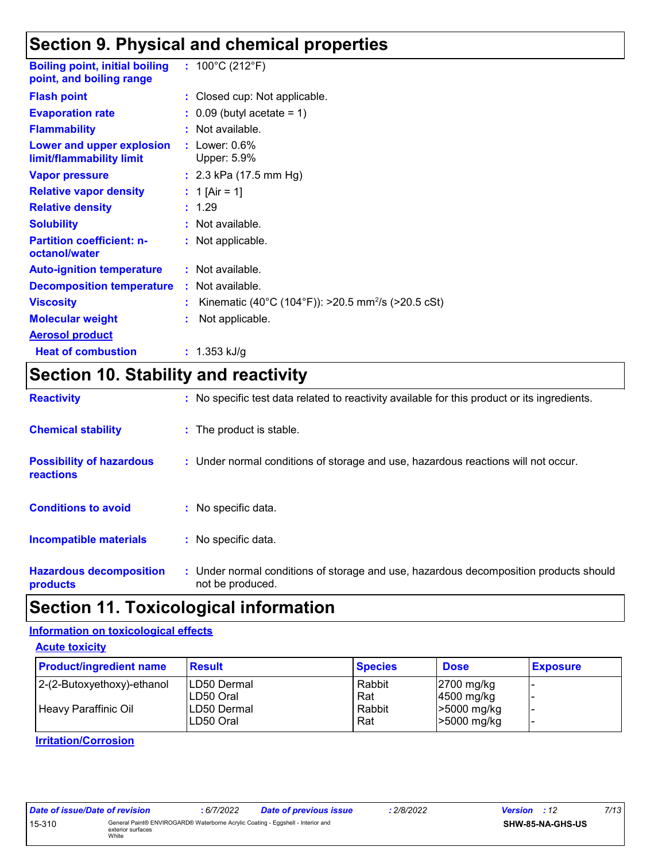# **Section 9. Physical and chemical properties**

| <b>Boiling point, initial boiling</b><br>point, and boiling range | : $100^{\circ}$ C (212 $^{\circ}$ F)                           |
|-------------------------------------------------------------------|----------------------------------------------------------------|
| <b>Flash point</b>                                                | : Closed cup: Not applicable.                                  |
| <b>Evaporation rate</b>                                           | $\therefore$ 0.09 (butyl acetate = 1)                          |
| <b>Flammability</b>                                               | $:$ Not available.                                             |
| Lower and upper explosion<br>limit/flammability limit             | : Lower: $0.6\%$<br>Upper: 5.9%                                |
| <b>Vapor pressure</b>                                             | : $2.3$ kPa (17.5 mm Hg)                                       |
| <b>Relative vapor density</b>                                     | : 1 [Air = 1]                                                  |
| <b>Relative density</b>                                           | : 1.29                                                         |
| <b>Solubility</b>                                                 | : Not available.                                               |
| <b>Partition coefficient: n-</b><br>octanol/water                 | : Not applicable.                                              |
| <b>Auto-ignition temperature</b>                                  | : Not available.                                               |
| <b>Decomposition temperature</b>                                  | : Not available.                                               |
| <b>Viscosity</b>                                                  | Kinematic (40°C (104°F)): >20.5 mm <sup>2</sup> /s (>20.5 cSt) |
| <b>Molecular weight</b>                                           | Not applicable.                                                |
| <b>Aerosol product</b>                                            |                                                                |
| <b>Heat of combustion</b>                                         | : $1.353$ kJ/g                                                 |

# **Section 10. Stability and reactivity**

| <b>Chemical stability</b><br>: The product is stable.                                                                                                   |  |
|---------------------------------------------------------------------------------------------------------------------------------------------------------|--|
| <b>Possibility of hazardous</b><br>: Under normal conditions of storage and use, hazardous reactions will not occur.<br><b>reactions</b>                |  |
| <b>Conditions to avoid</b><br>No specific data.<br>÷.                                                                                                   |  |
| <b>Incompatible materials</b><br>: No specific data.                                                                                                    |  |
| : Under normal conditions of storage and use, hazardous decomposition products should<br><b>Hazardous decomposition</b><br>not be produced.<br>products |  |

# **Section 11. Toxicological information**

#### **Information on toxicological effects**

**Acute toxicity**

| <b>Product/ingredient name</b> | <b>Result</b>                     | <b>Species</b> | <b>Dose</b>                  | <b>Exposure</b> |
|--------------------------------|-----------------------------------|----------------|------------------------------|-----------------|
| 2-(2-Butoxyethoxy)-ethanol     | <b>ILD50 Dermal</b><br>ILD50 Oral | Rabbit<br>Rat  | $2700$ mg/kg<br>$4500$ mg/kg |                 |
| Heavy Paraffinic Oil           | LD50 Dermal<br>LD50 Oral          | Rabbit<br>Rat  | >5000 mg/kg<br>>5000 mg/kg   |                 |

#### **Irritation/Corrosion**

| Date of issue/Date of revision |                                                                                                               | : 6/7/2022 | <b>Date of previous issue</b> | : 2/8/2022 | <b>Version</b> : 12 |                         | 7/13 |
|--------------------------------|---------------------------------------------------------------------------------------------------------------|------------|-------------------------------|------------|---------------------|-------------------------|------|
| 15-310                         | General Paint® ENVIROGARD® Waterborne Acrylic Coating - Eggshell - Interior and<br>exterior surfaces<br>White |            |                               |            |                     | <b>SHW-85-NA-GHS-US</b> |      |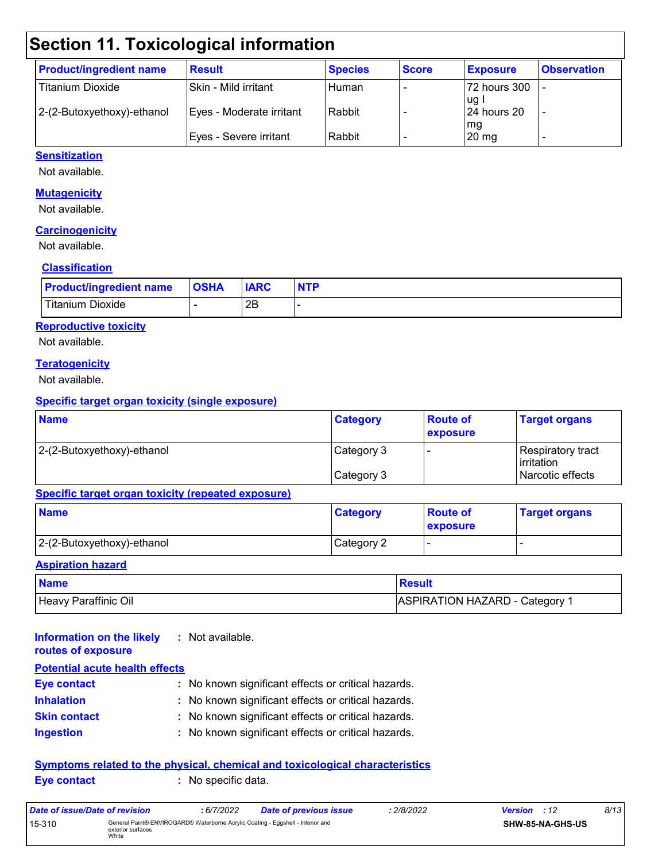# **Section 11. Toxicological information**

| <b>Product/ingredient name</b> | <b>Result</b>            | <b>Species</b> | <b>Score</b> | <b>Exposure</b>       | <b>Observation</b> |
|--------------------------------|--------------------------|----------------|--------------|-----------------------|--------------------|
| <b>Titanium Dioxide</b>        | Skin - Mild irritant     | Human          |              | 72 hours 300          |                    |
| 2-(2-Butoxyethoxy)-ethanol     | Eyes - Moderate irritant | Rabbit         |              | ug l<br>l 24 hours 20 |                    |
|                                | Eyes - Severe irritant   | Rabbit         |              | mg<br>$20 \text{ mg}$ |                    |

#### **Sensitization**

Not available.

#### **Mutagenicity**

Not available.

#### **Carcinogenicity**

Not available.

#### **Classification**

| <b>Product/ingredient name</b> | <b>OSHA</b> | <b>IARC</b> |  |
|--------------------------------|-------------|-------------|--|
| <b>Titanium Dioxide</b>        |             | 2E          |  |

#### **Reproductive toxicity**

Not available.

#### **Teratogenicity**

Not available.

#### **Specific target organ toxicity (single exposure)**

| <b>Name</b>                | <b>Category</b> | <b>Route of</b><br>exposure | <b>Target organs</b>                      |
|----------------------------|-----------------|-----------------------------|-------------------------------------------|
| 2-(2-Butoxyethoxy)-ethanol | Category 3      |                             | Respiratory tract_<br><b>l</b> irritation |
|                            | Category 3      |                             | Narcotic effects                          |

#### **Specific target organ toxicity (repeated exposure)**

| <b>Name</b>                | <b>Category</b> | <b>Route of</b><br>exposure | <b>Target organs</b> |
|----------------------------|-----------------|-----------------------------|----------------------|
| 2-(2-Butoxyethoxy)-ethanol | Category 2      |                             |                      |

#### **Aspiration hazard**

| <b>Name</b>          | <b>Result</b>                  |
|----------------------|--------------------------------|
| Heavy Paraffinic Oil | ASPIRATION HAZARD - Category 1 |

#### **Information on the likely :** Not available. **routes of exposure**

| <b>Potential acute health effects</b> |  |  |
|---------------------------------------|--|--|
|                                       |  |  |

| <b>Eye contact</b>  | : No known significant effects or critical hazards. |
|---------------------|-----------------------------------------------------|
| <b>Inhalation</b>   | : No known significant effects or critical hazards. |
| <b>Skin contact</b> | : No known significant effects or critical hazards. |
| <b>Ingestion</b>    | : No known significant effects or critical hazards. |

#### **Symptoms related to the physical, chemical and toxicological characteristics Eye contact :** No specific data.

| Date of issue/Date of revision |                                                                                                               | : 6/7/2022 | <b>Date of previous issue</b> | 2/8/2022 | <b>Version</b> : 12 |                         | 8/13 |
|--------------------------------|---------------------------------------------------------------------------------------------------------------|------------|-------------------------------|----------|---------------------|-------------------------|------|
| 15-310                         | General Paint® ENVIROGARD® Waterborne Acrylic Coating - Eggshell - Interior and<br>exterior surfaces<br>White |            |                               |          |                     | <b>SHW-85-NA-GHS-US</b> |      |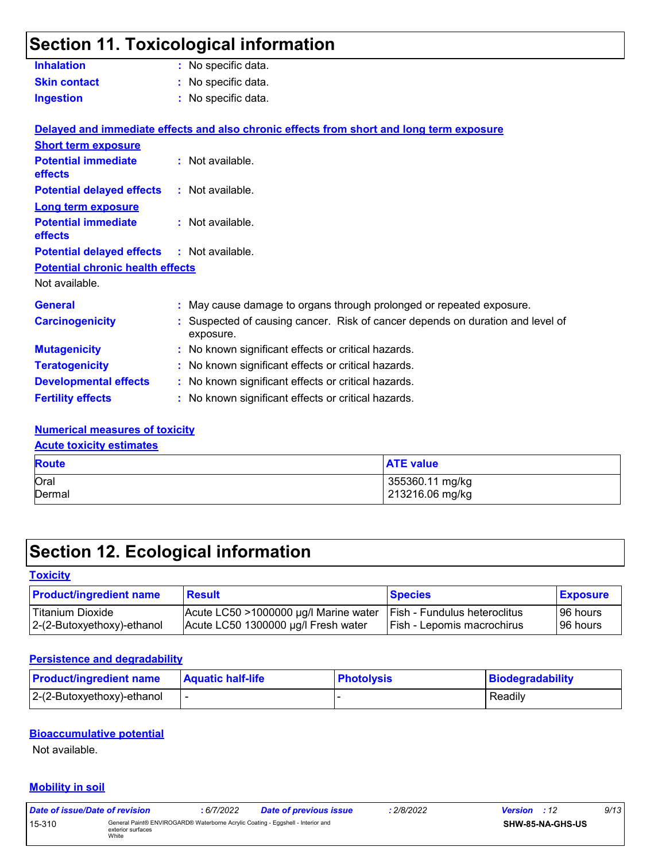# **Section 11. Toxicological information**

| <b>Inhalation</b>                                 | : No specific data.                                                                       |
|---------------------------------------------------|-------------------------------------------------------------------------------------------|
| <b>Skin contact</b>                               | : No specific data.                                                                       |
| <b>Ingestion</b>                                  | : No specific data.                                                                       |
|                                                   | Delayed and immediate effects and also chronic effects from short and long term exposure  |
| <b>Short term exposure</b>                        |                                                                                           |
| <b>Potential immediate</b><br>effects             | : Not available.                                                                          |
| <b>Potential delayed effects</b>                  | : Not available.                                                                          |
| <b>Long term exposure</b>                         |                                                                                           |
| <b>Potential immediate</b><br>effects             | : Not available.                                                                          |
| <b>Potential delayed effects : Not available.</b> |                                                                                           |
| <b>Potential chronic health effects</b>           |                                                                                           |
| Not available.                                    |                                                                                           |
| <b>General</b>                                    | : May cause damage to organs through prolonged or repeated exposure.                      |
| <b>Carcinogenicity</b>                            | Suspected of causing cancer. Risk of cancer depends on duration and level of<br>exposure. |
| <b>Mutagenicity</b>                               | : No known significant effects or critical hazards.                                       |
| <b>Teratogenicity</b>                             | : No known significant effects or critical hazards.                                       |
| <b>Developmental effects</b>                      | : No known significant effects or critical hazards.                                       |
| <b>Fertility effects</b>                          | : No known significant effects or critical hazards.                                       |
|                                                   |                                                                                           |

#### **Numerical measures of toxicity**

#### **Acute toxicity estimates**

| <b>Route</b> | <b>ATE value</b> |
|--------------|------------------|
| Oral         | 355360.11 mg/kg  |
| Dermal       | 213216.06 mg/kg  |

# **Section 12. Ecological information**

#### **Toxicity**

| <b>Product/ingredient name</b> | <b>Result</b>                         | <b>Species</b>               | <b>Exposure</b> |
|--------------------------------|---------------------------------------|------------------------------|-----------------|
| Titanium Dioxide               | Acute LC50 >1000000 µg/l Marine water | Fish - Fundulus heteroclitus | 196 hours       |
| 2-(2-Butoxyethoxy)-ethanol     | Acute LC50 1300000 µg/l Fresh water   | Fish - Lepomis macrochirus   | 96 hours        |

#### **Persistence and degradability**

| <b>Product/ingredient name</b> | <b>Aquatic half-life</b> | <b>Photolysis</b> | Biodegradability |
|--------------------------------|--------------------------|-------------------|------------------|
| 2-(2-Butoxyethoxy)-ethanol     |                          |                   | Readily          |

#### **Bioaccumulative potential**

Not available.

#### **Mobility in soil**

| Date of issue/Date of revision |                                                                                                               | : 6/7/2022 | <b>Date of previous issue</b> | : 2/8/2022 | <b>Version</b> : 12 |                         | 9/13 |
|--------------------------------|---------------------------------------------------------------------------------------------------------------|------------|-------------------------------|------------|---------------------|-------------------------|------|
| 15-310                         | General Paint® ENVIROGARD® Waterborne Acrylic Coating - Eggshell - Interior and<br>exterior surfaces<br>White |            |                               |            |                     | <b>SHW-85-NA-GHS-US</b> |      |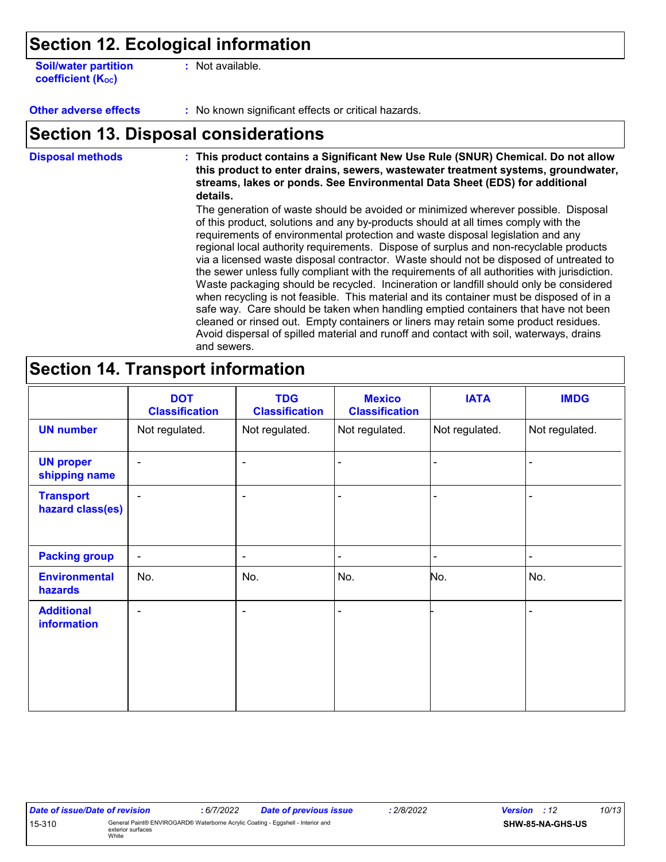# **Section 12. Ecological information**

**Soil/water partition coefficient (Koc)** 

**:** Not available.

**Other adverse effects :** No known significant effects or critical hazards.

### **Section 13. Disposal considerations**

The generation of waste should be avoided or minimized wherever possible. Disposal of this product, solutions and any by-products should at all times comply with the requirements of environmental protection and waste disposal legislation and any regional local authority requirements. Dispose of surplus and non-recyclable products via a licensed waste disposal contractor. Waste should not be disposed of untreated to the sewer unless fully compliant with the requirements of all authorities with jurisdiction. Waste packaging should be recycled. Incineration or landfill should only be considered when recycling is not feasible. This material and its container must be disposed of in a safe way. Care should be taken when handling emptied containers that have not been cleaned or rinsed out. Empty containers or liners may retain some product residues. Avoid dispersal of spilled material and runoff and contact with soil, waterways, drains and sewers. **Disposal methods : This product contains a Significant New Use Rule (SNUR) Chemical. Do not allow this product to enter drains, sewers, wastewater treatment systems, groundwater, streams, lakes or ponds. See Environmental Data Sheet (EDS) for additional details.**

### **Section 14. Transport information**

|                                         | <b>DOT</b><br><b>Classification</b> | <b>TDG</b><br><b>Classification</b> | <b>Mexico</b><br><b>Classification</b> | <b>IATA</b>    | <b>IMDG</b>    |
|-----------------------------------------|-------------------------------------|-------------------------------------|----------------------------------------|----------------|----------------|
| <b>UN number</b>                        | Not regulated.                      | Not regulated.                      | Not regulated.                         | Not regulated. | Not regulated. |
| <b>UN proper</b><br>shipping name       | $\blacksquare$                      | ۰                                   | ÷                                      |                |                |
| <b>Transport</b><br>hazard class(es)    | $\overline{\phantom{a}}$            | ۰                                   | ۰                                      |                |                |
| <b>Packing group</b>                    | $\blacksquare$                      | ٠                                   | $\sim$                                 | ۰              | ۰              |
| <b>Environmental</b><br>hazards         | No.                                 | No.                                 | No.                                    | No.            | No.            |
| <b>Additional</b><br><b>information</b> | $\blacksquare$                      | ۰                                   |                                        |                |                |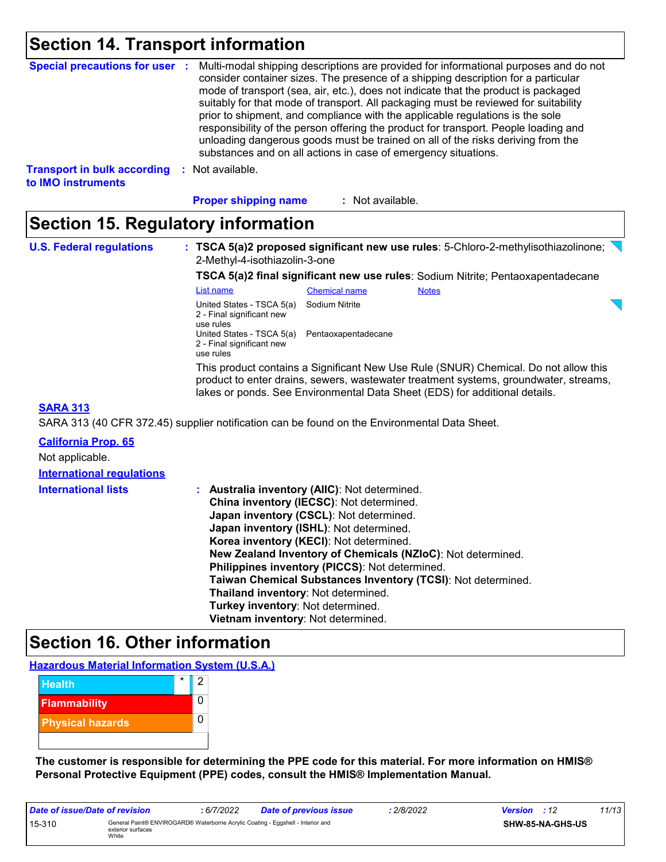### **Section 14. Transport information**

| Special precautions for user :                           |    | Multi-modal shipping descriptions are provided for informational purposes and do not<br>consider container sizes. The presence of a shipping description for a particular<br>mode of transport (sea, air, etc.), does not indicate that the product is packaged<br>suitably for that mode of transport. All packaging must be reviewed for suitability<br>prior to shipment, and compliance with the applicable regulations is the sole<br>responsibility of the person offering the product for transport. People loading and<br>unloading dangerous goods must be trained on all of the risks deriving from the<br>substances and on all actions in case of emergency situations. |
|----------------------------------------------------------|----|-------------------------------------------------------------------------------------------------------------------------------------------------------------------------------------------------------------------------------------------------------------------------------------------------------------------------------------------------------------------------------------------------------------------------------------------------------------------------------------------------------------------------------------------------------------------------------------------------------------------------------------------------------------------------------------|
| <b>Transport in bulk according</b><br>to IMO instruments | л. | Not available.                                                                                                                                                                                                                                                                                                                                                                                                                                                                                                                                                                                                                                                                      |

: Not available. **Proper shipping name :**

### **Section 15. Regulatory information**

**U.S. Federal regulations :**

**TSCA 5(a)2 proposed significant new use rules**: 5-Chloro-2-methylisothiazolinone; 2-Methyl-4-isothiazolin-3-one

**TSCA 5(a)2 final significant new use rules**: Sodium Nitrite; Pentaoxapentadecane

| List name                                                           | <b>Chemical name</b> | <b>Notes</b> |
|---------------------------------------------------------------------|----------------------|--------------|
| United States - TSCA 5(a)<br>2 - Final significant new<br>use rules | Sodium Nitrite       |              |
| United States - TSCA 5(a)<br>2 - Final significant new<br>use rules | Pentaoxapentadecane  |              |
|                                                                     |                      |              |

This product contains a Significant New Use Rule (SNUR) Chemical. Do not allow this product to enter drains, sewers, wastewater treatment systems, groundwater, streams, lakes or ponds. See Environmental Data Sheet (EDS) for additional details.

#### **SARA 313**

SARA 313 (40 CFR 372.45) supplier notification can be found on the Environmental Data Sheet.

| <b>California Prop. 65</b>       |                                                              |
|----------------------------------|--------------------------------------------------------------|
| Not applicable.                  |                                                              |
| <b>International requlations</b> |                                                              |
| <b>International lists</b>       | : Australia inventory (AIIC): Not determined.                |
|                                  | China inventory (IECSC): Not determined.                     |
|                                  | Japan inventory (CSCL): Not determined.                      |
|                                  | Japan inventory (ISHL): Not determined.                      |
|                                  | Korea inventory (KECI): Not determined.                      |
|                                  | New Zealand Inventory of Chemicals (NZIoC): Not determined.  |
|                                  | Philippines inventory (PICCS): Not determined.               |
|                                  | Taiwan Chemical Substances Inventory (TCSI): Not determined. |
|                                  | <b>Thailand inventory: Not determined.</b>                   |
|                                  | Turkey inventory: Not determined.                            |
|                                  | Vietnam inventory: Not determined.                           |

### **Section 16. Other information**

**Hazardous Material Information System (U.S.A.)**

| <b>Health</b>           | * |   |
|-------------------------|---|---|
| <b>Flammability</b>     |   | ი |
| <b>Physical hazards</b> |   |   |
|                         |   |   |

**The customer is responsible for determining the PPE code for this material. For more information on HMIS® Personal Protective Equipment (PPE) codes, consult the HMIS® Implementation Manual.**

| Date of issue/Date of revision |                                                                                                               | 6/7/2022 | Date of previous issue | : 2/8/2022 | <b>Version</b> : 12 |                  | 11/13 |
|--------------------------------|---------------------------------------------------------------------------------------------------------------|----------|------------------------|------------|---------------------|------------------|-------|
| 15-310                         | General Paint® ENVIROGARD® Waterborne Acrylic Coating - Eggshell - Interior and<br>exterior surfaces<br>White |          |                        |            |                     | SHW-85-NA-GHS-US |       |